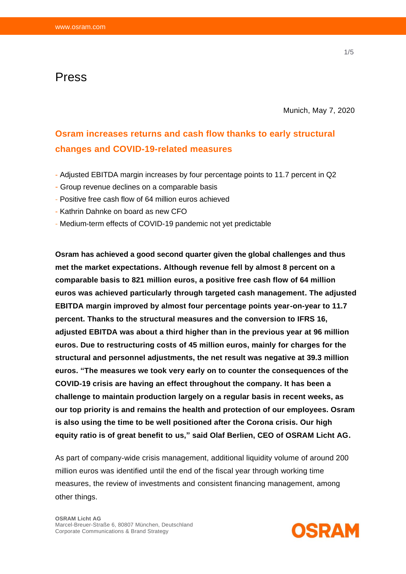## Press

Munich, May 7, 2020

# **Osram increases returns and cash flow thanks to early structural changes and COVID-19-related measures**

- Adjusted EBITDA margin increases by four percentage points to 11.7 percent in Q2
- Group revenue declines on a comparable basis
- Positive free cash flow of 64 million euros achieved
- Kathrin Dahnke on board as new CFO
- Medium-term effects of COVID-19 pandemic not yet predictable

**Osram has achieved a good second quarter given the global challenges and thus met the market expectations. Although revenue fell by almost 8 percent on a comparable basis to 821 million euros, a positive free cash flow of 64 million euros was achieved particularly through targeted cash management. The adjusted EBITDA margin improved by almost four percentage points year-on-year to 11.7 percent. Thanks to the structural measures and the conversion to IFRS 16, adjusted EBITDA was about a third higher than in the previous year at 96 million euros. Due to restructuring costs of 45 million euros, mainly for charges for the structural and personnel adjustments, the net result was negative at 39.3 million euros. "The measures we took very early on to counter the consequences of the COVID-19 crisis are having an effect throughout the company. It has been a challenge to maintain production largely on a regular basis in recent weeks, as our top priority is and remains the health and protection of our employees. Osram is also using the time to be well positioned after the Corona crisis. Our high equity ratio is of great benefit to us," said Olaf Berlien, CEO of OSRAM Licht AG.**

As part of company-wide crisis management, additional liquidity volume of around 200 million euros was identified until the end of the fiscal year through working time measures, the review of investments and consistent financing management, among other things.

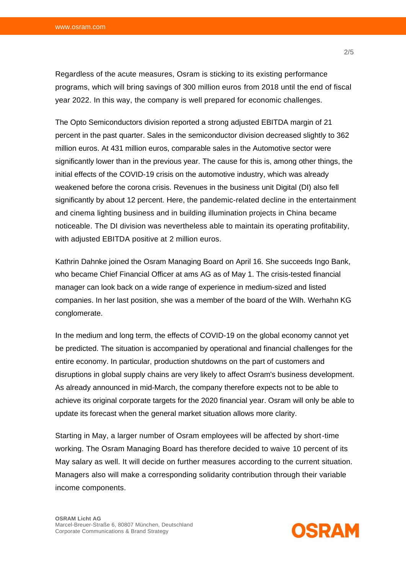Regardless of the acute measures, Osram is sticking to its existing performance programs, which will bring savings of 300 million euros from 2018 until the end of fiscal year 2022. In this way, the company is well prepared for economic challenges.

The Opto Semiconductors division reported a strong adjusted EBITDA margin of 21 percent in the past quarter. Sales in the semiconductor division decreased slightly to 362 million euros. At 431 million euros, comparable sales in the Automotive sector were significantly lower than in the previous year. The cause for this is, among other things, the initial effects of the COVID-19 crisis on the automotive industry, which was already weakened before the corona crisis. Revenues in the business unit Digital (DI) also fell significantly by about 12 percent. Here, the pandemic-related decline in the entertainment and cinema lighting business and in building illumination projects in China became noticeable. The DI division was nevertheless able to maintain its operating profitability, with adjusted EBITDA positive at 2 million euros.

Kathrin Dahnke joined the Osram Managing Board on April 16. She succeeds Ingo Bank, who became Chief Financial Officer at ams AG as of May 1. The crisis-tested financial manager can look back on a wide range of experience in medium-sized and listed companies. In her last position, she was a member of the board of the Wilh. Werhahn KG conglomerate.

In the medium and long term, the effects of COVID-19 on the global economy cannot yet be predicted. The situation is accompanied by operational and financial challenges for the entire economy. In particular, production shutdowns on the part of customers and disruptions in global supply chains are very likely to affect Osram's business development. As already announced in mid-March, the company therefore expects not to be able to achieve its original corporate targets for the 2020 financial year. Osram will only be able to update its forecast when the general market situation allows more clarity.

Starting in May, a larger number of Osram employees will be affected by short-time working. The Osram Managing Board has therefore decided to waive 10 percent of its May salary as well. It will decide on further measures according to the current situation. Managers also will make a corresponding solidarity contribution through their variable income components.

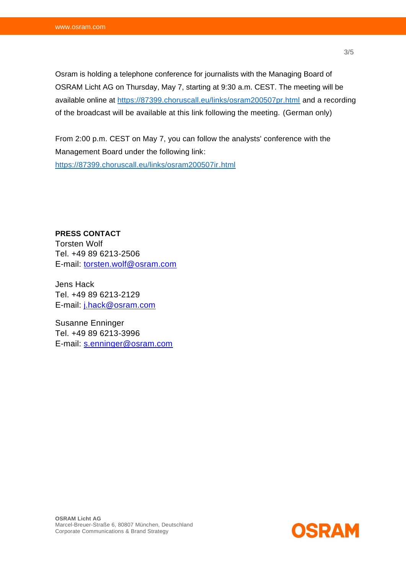Osram is holding a telephone conference for journalists with the Managing Board of OSRAM Licht AG on Thursday, May 7, starting at 9:30 a.m. CEST. The meeting will be available online at<https://87399.choruscall.eu/links/osram200507pr.html> and a recording of the broadcast will be available at this link following the meeting. (German only)

From 2:00 p.m. CEST on May 7, you can follow the analysts' conference with the Management Board under the following link: <https://87399.choruscall.eu/links/osram200507ir.html>

**PRESS CONTACT** Torsten Wolf Tel. +49 89 6213-2506 E-mail: [torsten.wolf@osram.com](mailto:torsten.wolf@osram.com)

Jens Hack Tel. +49 89 6213-2129 E-mail: [j.hack@osram.com](mailto:j.hack@osram.com)

Susanne Enninger Tel. +49 89 6213-3996 E-mail: [s.enninger@osram.com](mailto:s.enninger@osram.com)

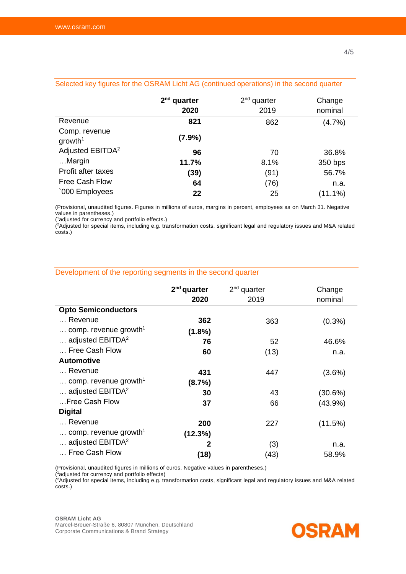|                                      | $2nd$ quarter<br>2020 | $2nd$ quarter<br>2019 | Change<br>nominal |
|--------------------------------------|-----------------------|-----------------------|-------------------|
| Revenue                              | 821                   | 862                   | (4.7%)            |
| Comp. revenue<br>growth <sup>1</sup> | (7.9%)                |                       |                   |
| Adjusted EBITDA <sup>2</sup>         | 96                    | 70                    | 36.8%             |
| Margin                               | 11.7%                 | 8.1%                  | 350 bps           |
| Profit after taxes                   | (39)                  | (91)                  | 56.7%             |
| <b>Free Cash Flow</b>                | 64                    | (76)                  | n.a.              |
| '000 Employees                       | 22                    | 25                    | $(11.1\%)$        |

## Selected key figures for the OSRAM Licht AG (continued operations) in the second quarter

(Provisional, unaudited figures. Figures in millions of euros, margins in percent, employees as on March 31. Negative values in parentheses.)

( <sup>1</sup>adjusted for currency and portfolio effects.)

( <sup>2</sup>Adjusted for special items, including e.g. transformation costs, significant legal and regulatory issues and M&A related costs.)

|                                            | $2nd$ quarter<br>2020 | $2nd$ quarter<br>2019 | Change<br>nominal |
|--------------------------------------------|-----------------------|-----------------------|-------------------|
| <b>Opto Semiconductors</b>                 |                       |                       |                   |
| Revenue                                    | 362                   | 363                   | $(0.3\%)$         |
| comp. revenue growth <sup>1</sup>          | $(1.8\%)$             |                       |                   |
| adjusted EBITDA <sup>2</sup>               | 76                    | 52                    | 46.6%             |
| Free Cash Flow                             | 60                    | (13)                  | n.a.              |
| <b>Automotive</b>                          |                       |                       |                   |
| Revenue                                    | 431                   | 447                   | $(3.6\%)$         |
| comp. revenue growth <sup>1</sup>          | (8.7%)                |                       |                   |
| $\ldots$ adjusted EBITDA <sup>2</sup>      | 30                    | 43                    | (30.6%)           |
| Free Cash Flow                             | 37                    | 66                    | $(43.9\%)$        |
| <b>Digital</b>                             |                       |                       |                   |
| Revenue                                    | 200                   | 227                   | (11.5%)           |
| $\ldots$ comp. revenue growth <sup>1</sup> | (12.3%)               |                       |                   |
| $\ldots$ adjusted EBITDA <sup>2</sup>      | 2                     | (3)                   | n.a.              |
| Free Cash Flow                             | (18)                  | (43)                  | 58.9%             |

### Development of the reporting segments in the second quarter

(Provisional, unaudited figures in millions of euros. Negative values in parentheses.)

( <sup>1</sup>adjusted for currency and portfolio effects)

( <sup>2</sup>Adjusted for special items, including e.g. transformation costs, significant legal and regulatory issues and M&A related costs.)